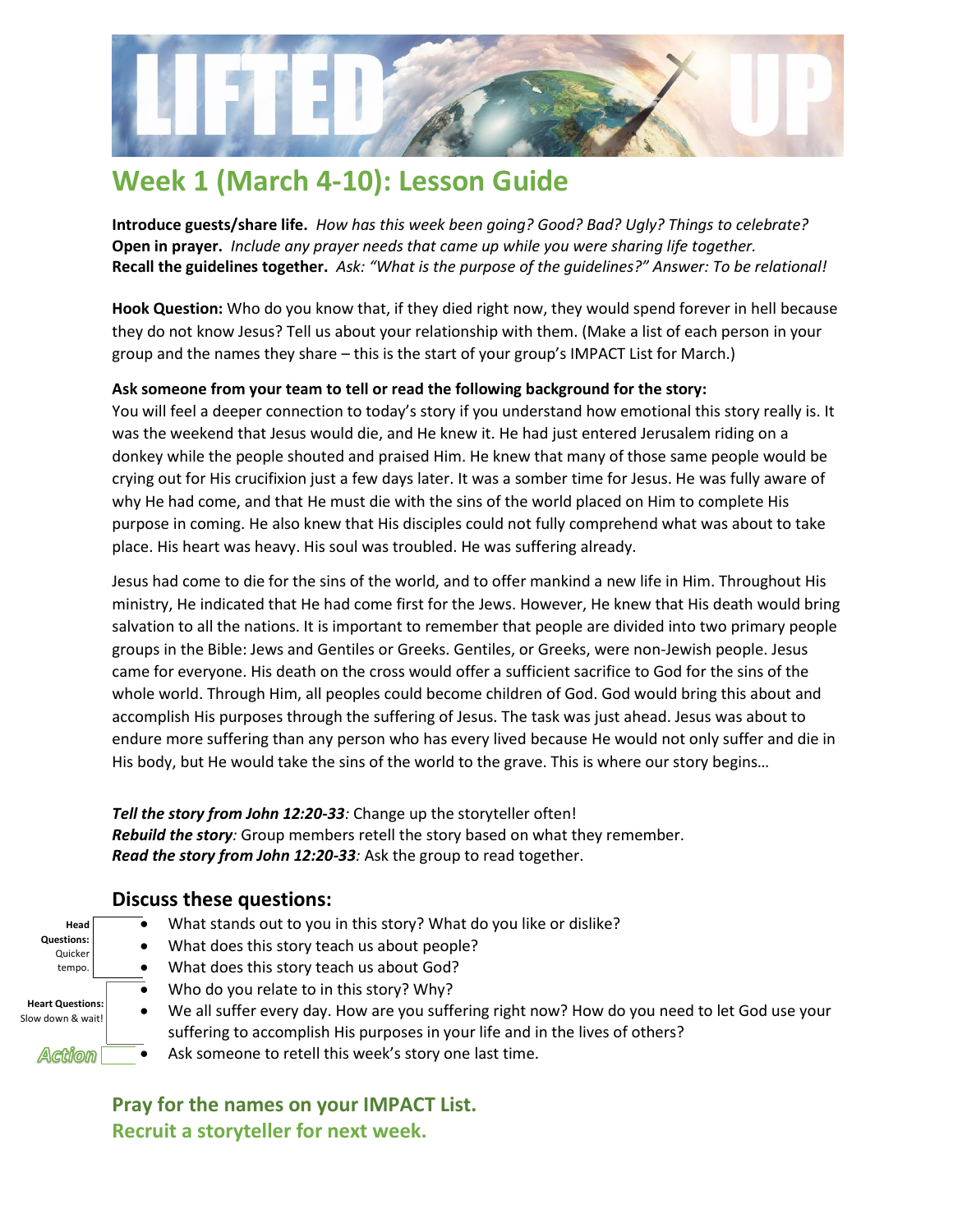

## **Week 1 (March 4-10): Lesson Guide**

**Introduce guests/share life.** *How has this week been going? Good? Bad? Ugly? Things to celebrate?* **Open in prayer.** *Include any prayer needs that came up while you were sharing life together.* **Recall the guidelines together.** *Ask: "What is the purpose of the guidelines?" Answer: To be relational!*

**Hook Question:** Who do you know that, if they died right now, they would spend forever in hell because they do not know Jesus? Tell us about your relationship with them. (Make a list of each person in your group and the names they share – this is the start of your group's IMPACT List for March.)

#### **Ask someone from your team to tell or read the following background for the story:**

You will feel a deeper connection to today's story if you understand how emotional this story really is. It was the weekend that Jesus would die, and He knew it. He had just entered Jerusalem riding on a donkey while the people shouted and praised Him. He knew that many of those same people would be crying out for His crucifixion just a few days later. It was a somber time for Jesus. He was fully aware of why He had come, and that He must die with the sins of the world placed on Him to complete His purpose in coming. He also knew that His disciples could not fully comprehend what was about to take place. His heart was heavy. His soul was troubled. He was suffering already.

Jesus had come to die for the sins of the world, and to offer mankind a new life in Him. Throughout His ministry, He indicated that He had come first for the Jews. However, He knew that His death would bring salvation to all the nations. It is important to remember that people are divided into two primary people groups in the Bible: Jews and Gentiles or Greeks. Gentiles, or Greeks, were non-Jewish people. Jesus came for everyone. His death on the cross would offer a sufficient sacrifice to God for the sins of the whole world. Through Him, all peoples could become children of God. God would bring this about and accomplish His purposes through the suffering of Jesus. The task was just ahead. Jesus was about to endure more suffering than any person who has every lived because He would not only suffer and die in His body, but He would take the sins of the world to the grave. This is where our story begins…

*Tell the story from John 12:20-33:* Change up the storyteller often! *Rebuild the story:* Group members retell the story based on what they remember. *Read the story from John 12:20-33:* Ask the group to read together.

### **Discuss these questions:**

• What stands out to you in this story? What do you like or dislike? **Head Questions:** • What does this story teach us about people? Quicker • What does this story teach us about God? tempo. • Who do you relate to in this story? Why? **Heart Questions:**  • We all suffer every day. How are you suffering right now? How do you need to let God use your Slow down & wait suffering to accomplish His purposes in your life and in the lives of others? Action Ask someone to retell this week's story one last time.

> **Pray for the names on your IMPACT List. Recruit a storyteller for next week.**